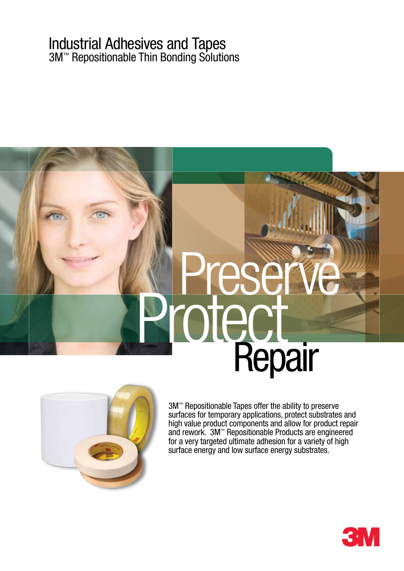#### Industrial Adhesives and Tapes 3M™ Repositionable Thin Bonding Solutions

# **Preserve**<br>Protect Repair



3M™ Repositionable Tapes offer the ability to preserve surfaces for temporary applications, protect substrates and high value product components and allow for product repair and rework. 3M™ Repositionable Products are engineered for a very targeted ultimate adhesion for a variety of high surface energy and low surface energy substrates.

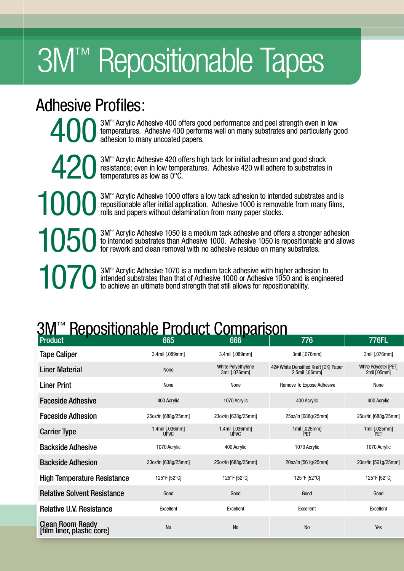# **3M™ Repositionable Tapes**

## Adhesive Profiles:

3M™ Acrylic Adhesive 400 offers good performance and peel strength even in low temperatures. Adhesive 400 performs well on many substrates and particularly good adhesion to many uncoated papers.

4203M™ Acrylic Adhesive 420 offers high tack for initial adhesion and good shock resistance; even in low temperatures. Adhesive 420 will adhere to substrates temperatures as low as 0°C. resistance; even in low temperatures. Adhesive 420 will adhere to substrates in temperatures as low as 0°C.

1000 3M™ Acrylic Adhesive 1000 offers a low tack adhesion to intended substrates and is repositionable after initial application. Adhesive 1000 is removable from many films, rolls and papers without delamination from many repositionable after initial application. Adhesive 1000 is removable from many films, rolls and papers without delamination from many paper stocks.

10503M™ Acrylic Adhesive 1050 is a medium tack adhesive and offers a stronger adhesion to intended substrates than Adhesive 1000. Adhesive 1050 is repositionable and allow for rework and clean removal with no adhesive res to intended substrates than Adhesive 1000. Adhesive 1050 is repositionable and allows for rework and clean removal with no adhesive residue on many substrates.

10703M™ Acrylic Adhesive 1070 is a medium tack adhesive with higher adhesion to intended substrates than that of Adhesive 1000 or Adhesive 1050 and is engine to achieve an ultimate bond strength that still allows for repo intended substrates than that of Adhesive 1000 or Adhesive 1050 and is engineered to achieve an ultimate bond strength that still allows for repositionability.

# **3M<sup>™</sup> Repositionable Product Comparison**

| <b>Product</b>                                        | 665                            | 666                                 | 776                                                          | 776FL                                 |
|-------------------------------------------------------|--------------------------------|-------------------------------------|--------------------------------------------------------------|---------------------------------------|
| <b>Tape Caliper</b>                                   | 3.4mil [.089mm]                | 3.4mil [.089mm]                     | 3mil [.076mm]                                                | 3mil [.076mm]                         |
| <b>Liner Material</b>                                 | None                           | White Polyethylene<br>3mil [.076mm] | 42# White Densified Kraft [DK] Paper<br>$2.5$ mil $[.06$ mm] | White Polyester [PET]<br>2mil [.05mm] |
| <b>Liner Print</b>                                    | None                           | None                                | Remove To Expose Adhesive                                    | None                                  |
| <b>Faceside Adhesive</b>                              | 400 Acrylic                    | 1070 Acrylic                        | 400 Acrylic                                                  | 400 Acrylic                           |
| <b>Faceside Adhesion</b>                              | 25oz/in [688g/25mm]            | 23oz/in [638g/25mm]                 | 25oz/in [688g/25mm]                                          | 25oz/in [688g/25mm]                   |
| <b>Carrier Type</b>                                   | 1.4mil [.036mm]<br><b>UPVC</b> | 1.4mil [.036mm]<br><b>UPVC</b>      | 1mil [.025mm]<br>PET                                         | 1mil [.025mm]<br>PET                  |
| <b>Backside Adhesive</b>                              | 1070 Acrylic                   | 400 Acrylic                         | 1070 Acrylic                                                 | 1070 Acrylic                          |
| <b>Backside Adhesion</b>                              | 23oz/in [638g/25mm]            | 25oz/in [688g/25mm]                 | 20oz/in [561g/25mm]                                          | 20oz/in [561g/25mm]                   |
| <b>High Temperature Resistance</b>                    | 125°F [52°C]                   | 125°F [52°C]                        | 125°F [52°C]                                                 | 125°F [52°C]                          |
| <b>Relative Solvent Resistance</b>                    | Good                           | Good                                | Good                                                         | Good                                  |
| <b>Relative U.V. Resistance</b>                       | Excellent                      | Excellent                           | Excellent                                                    | Excellent                             |
| <b>Clean Room Ready</b><br>[film liner, plastic core] | $\rm No$                       | No                                  | No                                                           | Yes                                   |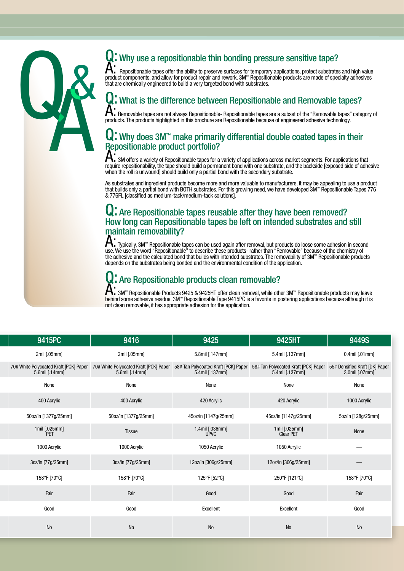

#### Q: Why use a repositionable thin bonding pressure sensitive tape?

The rest of the ability to preserve surfaces for temporary applications, protect substrates and high value<br>product components, and allow for product repair and rework. 3M<sup>\*\*</sup> Repositionable products are made of specialty a that are chemically engineered to build a very targeted bond with substrates.

#### l: What is the difference between Repositionable and Removable tapes?

A: Removable tapes are not always Repositionable- Repositionable tapes are a subset of the "Removable tapes" category of products. The products highlighted in this brochure are Repositionable because of engineered adhesive technology.

#### $\mathbf Q$ : Why does 3M<sup> $\cdot\cdot$ </sup> make primarily differential double coated tapes in their Repositionable product portfolio?

A: 3M offers a variety of Repositionable tapes for a variety of applications across market segments. For applications that require repositionability, the tape should build a permanent bond with one substrate, and the backside [exposed side of adhesive when the roll is unwound] should build only a partial bond with the secondary substrate.

As substrates and ingredient products become more and more valuable to manufacturers, it may be appealing to use a product that builds only a partial bond with BOTH substrates. For this growing need, we have developed 3M™ Repositionable Tapes 776 & 776FL [classified as medium-tack/medium-tack solutions].

#### Q: Are Repositionable tapes reusable after they have been removed? How long can Repositionable tapes be left on intended substrates and still maintain removability?

A: Typically, 3M™ Repositionable tapes can be used again after removal, but products do loose some adhesion in second use. We use the word "Repositionable" to describe these products- rather than "Removable" because of the chemistry of the adhesive and the calculated bond that builds with intended substrates. The removability of 3M™ Repositionable products depends on the substrates being bonded and the environmental condition of the application.

#### . Are Repositionable products clean removable?

A: 3M™ Repositionable Products 9425 & 9425HT offer clean removal, while other 3M™ Repositionable products may leave behind some adhesive residue. 3M™ Repositionable Tape 9415PC is a favorite in postering applications because although it is not clean removable, it has appropriate adhesion for the application.

| 9415PC               | 9416                                                                                                                                                                                               | 9425                    | 9425HT                                                                                             | 9449S                           |
|----------------------|----------------------------------------------------------------------------------------------------------------------------------------------------------------------------------------------------|-------------------------|----------------------------------------------------------------------------------------------------|---------------------------------|
| 2mil [.05mm]         | 2mil [.05mm]                                                                                                                                                                                       | 5.8mil [.147mm]         | 5.4mil [.137mm]                                                                                    | $0.4$ mil $[.01$ mm $]$         |
|                      | 70# White Polycoated Kraft [PCK] Paper   58# Tan Polycoated Kraft [PCK] Paper   58# Tan Polycoated Kraft [PCK] Paper<br>5.6mil [.14mm] 5.6mil [.14mm] 5.6mil [.14mm] 5.6mil [.14mm] 5.6mil [.14mm] |                         | 58# Tan Polycoated Kraft [PCK] Paper 55# Densified Kraft [DK] Paper 5.4mil [.137mm] 3.0mil [.07mm] |                                 |
| None                 | None                                                                                                                                                                                               | None                    | None                                                                                               | None                            |
| 400 Acrylic          | 400 Acrylic                                                                                                                                                                                        | 420 Acrylic             | 420 Acrylic                                                                                        | 1000 Acrylic                    |
| 50oz/in [1377g/25mm] | 50oz/in [1377g/25mm]                                                                                                                                                                               | 45oz/in [1147g/25mm]    | 45oz/in [1147g/25mm]                                                                               | 5oz/in [128g/25mm]              |
| 1mil [.025mm]<br>PET | Tissue                                                                                                                                                                                             | 1.4mil [.036mm]<br>UPVC | 1mil [.025mm]<br>Clear PET                                                                         | None                            |
| 1000 Acrylic         | 1000 Acrylic                                                                                                                                                                                       | 1050 Acrylic            | 1050 Acrylic                                                                                       | $\overline{\phantom{m}}$        |
| 3oz/in [77g/25mm]    | 3oz/in [77g/25mm]                                                                                                                                                                                  | 12oz/in [306g/25mm]     | 12oz/in [306g/25mm]                                                                                | $\hspace{0.1mm}-\hspace{0.1mm}$ |
| 158°F [70°C]         | 158°F [70°C]                                                                                                                                                                                       | 125°F [52°C]            | 250°F [121°C]                                                                                      | 158°F [70°C]                    |
| Fair                 | Fair                                                                                                                                                                                               | Good                    | Good                                                                                               | Fair                            |
| Good                 | Good                                                                                                                                                                                               | Excellent               | Excellent                                                                                          | Good                            |
| No                   | No                                                                                                                                                                                                 | No                      | ${\sf No}$                                                                                         | ${\sf No}$                      |
|                      |                                                                                                                                                                                                    |                         |                                                                                                    |                                 |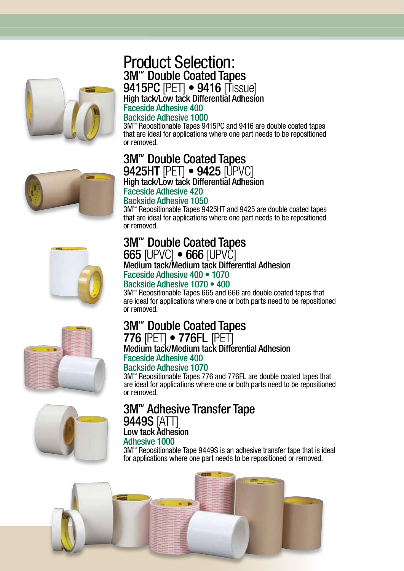

#### 3M™ Double Coated Tapes 9415PC [PET] • 9416 [Tissue] High tack/Low tack Differential Adhesion Product Selection:

#### Faceside Adhesive 400

#### Backside Adhesive 1000

3M™ Repositionable Tapes 9415PC and 9416 are double coated tapes that are ideal for applications where one part needs to be repositioned or removed.



#### 3M™ Double Coated Tapes 9425HT [PET] • 9425 [UPVC]

3M™ Double Coated Tapes 665 [UPVC] • 666 [UPVC]

Faceside Adhesive 400 • 1070 Backside Adhesive 1070 • 400

Medium tack/Medium tack Differential Adhesion

High tack/Low tack Differential Adhesion Faceside Adhesive 420

#### Backside Adhesive 1050

3M™ Repositionable Tapes 9425HT and 9425 are double coated tapes that are ideal for applications where one part needs to be repositioned or removed.

3M™ Repositionable Tapes 665 and 666 are double coated tapes that are ideal for applications where one or both parts need to be repositioned





#### 3M™ Double Coated Tapes 776 [PET] • 776FL [PET] Medium tack/Medium tack Differential Adhesion Faceside Adhesive 400

Backside Adhesive 1070

or removed.

3M™ Repositionable Tapes 776 and 776FL are double coated tapes that are ideal for applications where one or both parts need to be repositioned or removed.

#### 3M™ Adhesive Transfer Tape **9449S [ATT]**

### Low tack Adhesion

#### Adhesive 1000

3M™ Repositionable Tape 9449S is an adhesive transfer tape that is ideal for applications where one part needs to be repositioned or removed.

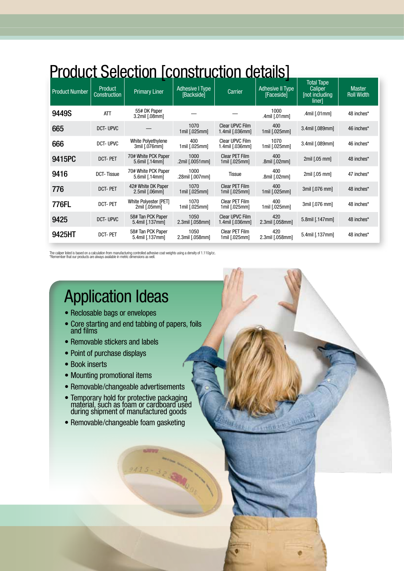# **Product Selection [construction details]**

| <b>Product Number</b> | Product<br>Construction | <b>Primary Liner</b>                  | Adhesive I Type<br>[Backside]  | Carrier                                         | ÷<br><b>Adhesive II Type</b><br>[Faceside] | <b>Total Tape</b><br>Caliper<br>[not including]<br>liner] | <b>Master</b><br><b>Roll Width</b> |
|-----------------------|-------------------------|---------------------------------------|--------------------------------|-------------------------------------------------|--------------------------------------------|-----------------------------------------------------------|------------------------------------|
| 9449S                 | <b>ATT</b>              | 55# DK Paper<br>3.2mil [.08mm]        |                                |                                                 | 1000<br>.4mil [.01mm]                      | .4mil [.01mm]                                             | 48 inches*                         |
| 665                   | DCT-UPVC                |                                       | 1070<br>$1$ mil $[.025$ mm $]$ | Clear UPVC Film<br>1.4mil [.036mm]              | 400<br>1mil [.025mm]                       | 3.4mil [.089mm]                                           | 46 inches*                         |
| 666                   | DCT-UPVC                | White Polyethylene<br>3mil [.076mm]   | 400<br>1mil [.025mm]           | Clear UPVC Film<br>1.4mil [.036mm]              | 1070<br>1mil [.025mm]                      | 3.4mil [.089mm]                                           | 46 inches*                         |
| 9415PC                | <b>DCT-PET</b>          | 70# White PCK Paper<br>5.6mil [.14mm] | 1000<br>.2mil [.0051mm]        | <b>Clear PET Film</b><br>1mil [.025mm]          | 400<br>.8mil [.02mm]                       | 2mil [.05 mm]                                             | 48 inches*                         |
| 9416                  | <b>DCT-Tissue</b>       | 70# White PCK Paper<br>5.6mil [.14mm] | 1000<br>.28mil [.007mm]        | Tissue                                          | 400<br>.8mil [.02mm]                       | 2mil [.05 mm]                                             | 47 inches*                         |
| 776                   | <b>DCT-PET</b>          | 42# White DK Paper<br>2.5mil [.06mm]  | 1070<br>1mil [.025mm]          | <b>Clear PET Film</b><br>$1$ mil $[.025$ mm $]$ | 400<br>1mil [.025mm]                       | 3mil [.076 mm]                                            | 48 inches*                         |
| 776FL                 | <b>DCT-PET</b>          | White Polyester [PET]<br>2mil [.05mm] | 1070<br>$1$ mil [.025mm]       | Clear PET Film<br>1mil [.025mm]                 | 400<br>1mil [.025mm]                       | 3mil [.076 mm]                                            | 48 inches*                         |
| 9425                  | DCT-UPVC                | 58# Tan PCK Paper<br>5.4mil [.137mm]  | 1050<br>2.3mil [.058mm]        | Clear UPVC Film<br>1.4mil [.036mm]              | 420<br>2.3mil [.058mm]                     | 5.8mil [.147mm]                                           | 48 inches*                         |
| 9425HT                | <b>DCT-PET</b>          | 58# Tan PCK Paper<br>5.4mil [.137mm]  | 1050<br>2.3mil [.058mm]        | Clear PET Film<br>1mil [.025mm]                 | 420<br>2.3mil [.058mm]                     | 5.4mil [.137mm]                                           | 48 inches*                         |

The caliper listed is based on a calculation from manufacturing controlled adhesive coat weights using a density of 1.110g/cc.<br>\*Remember that our products are always available in metric dimensions as well.

# Application Ideas

- Reclosable bags or envelopes
- Core starting and end tabbing of papers, foils and films
- Removable stickers and labels
- Point of purchase displays
- Book inserts
- Mounting promotional items
- Removable/changeable advertisements
- • Temporary hold for protective packaging material, such as foam or cardboard used during shipment of manufactured goods
- Removable/changeable foam gasketing

1115-325